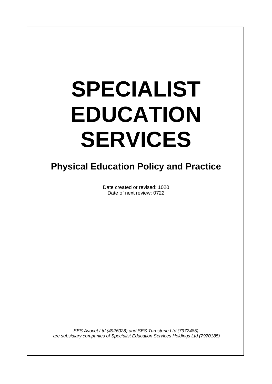# **SPECIALIST EDUCATION SERVICES**

 $\overline{\phantom{a}}$ 

# **Physical Education Policy and Practice**

Date created or revised: 1020 Date of next review: 0722

*SES Avocet Ltd (4926028) and SES Turnstone Ltd (7972485) are subsidiary companies of Specialist Education Services Holdings Ltd (7970185)*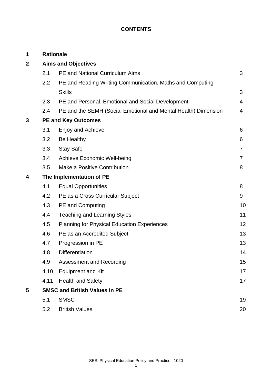# **CONTENTS**

| 1           | <b>Rationale</b>                     |                                                                |                |  |
|-------------|--------------------------------------|----------------------------------------------------------------|----------------|--|
| $\mathbf 2$ | <b>Aims and Objectives</b>           |                                                                |                |  |
|             | 2.1                                  | <b>PE and National Curriculum Aims</b>                         | 3              |  |
|             | 2.2                                  | PE and Reading Writing Communication, Maths and Computing      |                |  |
|             |                                      | <b>Skills</b>                                                  | 3              |  |
|             | 2.3                                  | PE and Personal, Emotional and Social Development              | $\overline{4}$ |  |
|             | 2.4                                  | PE and the SEMH (Social Emotional and Mental Health) Dimension | 4              |  |
| 3           | <b>PE and Key Outcomes</b>           |                                                                |                |  |
|             | 3.1                                  | <b>Enjoy and Achieve</b>                                       | 6              |  |
|             | 3.2                                  | Be Healthy                                                     | 6              |  |
|             | 3.3                                  | <b>Stay Safe</b>                                               | 7              |  |
|             | 3.4                                  | <b>Achieve Economic Well-being</b>                             | $\overline{7}$ |  |
|             | 3.5                                  | Make a Positive Contribution                                   | 8              |  |
| 4           | The Implementation of PE             |                                                                |                |  |
|             | 4.1                                  | <b>Equal Opportunities</b>                                     | 8              |  |
|             | 4.2                                  | PE as a Cross Curricular Subject                               | 9              |  |
|             | 4.3                                  | <b>PE and Computing</b>                                        | 10             |  |
|             | 4.4                                  | <b>Teaching and Learning Styles</b>                            | 11             |  |
|             | 4.5                                  | <b>Planning for Physical Education Experiences</b>             | 12             |  |
|             | 4.6                                  | PE as an Accredited Subject                                    | 13             |  |
|             | 4.7                                  | Progression in PE                                              | 13             |  |
|             | 4.8                                  | <b>Differentiation</b>                                         | 14             |  |
|             | 4.9                                  | <b>Assessment and Recording</b>                                | 15             |  |
|             | 4.10                                 | <b>Equipment and Kit</b>                                       | 17             |  |
|             | 4.11                                 | <b>Health and Safety</b>                                       | 17             |  |
| 5           | <b>SMSC and British Values in PE</b> |                                                                |                |  |
|             | 5.1                                  | <b>SMSC</b>                                                    | 19             |  |
|             | 5.2                                  | <b>British Values</b>                                          | 20             |  |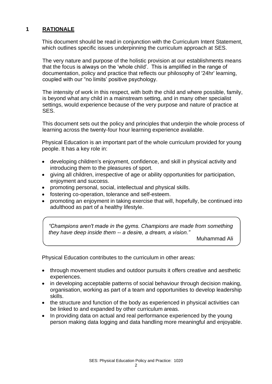# **1 RATIONALE**

This document should be read in conjunction with the Curriculum Intent Statement, which outlines specific issues underpinning the curriculum approach at SES.

The very nature and purpose of the holistic provision at our establishments means that the focus is always on the 'whole child'. This is amplified in the range of documentation, policy and practice that reflects our philosophy of '24hr' learning, coupled with our "no limits' positive psychology.

The intensity of work in this respect, with both the child and where possible, family, is beyond what any child in a mainstream setting, and in many other specialist settings, would experience because of the very purpose and nature of practice at SES.

This document sets out the policy and principles that underpin the whole process of learning across the twenty-four hour learning experience available.

Physical Education is an important part of the whole curriculum provided for young people. It has a key role in:

- developing children's enjoyment, confidence, and skill in physical activity and introducing them to the pleasures of sport.
- giving all children, irrespective of age or ability opportunities for participation, enjoyment and success.
- promoting personal, social, intellectual and physical skills.
- fostering co-operation, tolerance and self-esteem.
- promoting an enjoyment in taking exercise that will, hopefully, be continued into adulthood as part of a healthy lifestyle.

*"Champions aren't made in the gyms. Champions are made from something they have deep inside them -- a desire, a dream, a vision."*

Muhammad Ali

Physical Education contributes to the curriculum in other areas:

- through movement studies and outdoor pursuits it offers creative and aesthetic experiences.
- in developing acceptable patterns of social behaviour through decision making. organisation, working as part of a team and opportunities to develop leadership skills.
- the structure and function of the body as experienced in physical activities can be linked to and expanded by other curriculum areas.
- In providing data on actual and real performance experienced by the young person making data logging and data handling more meaningful and enjoyable.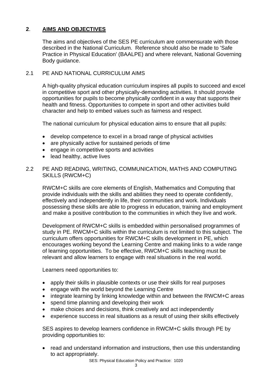# **2**. **AIMS AND OBJECTIVES**

The aims and objectives of the SES PE curriculum are commensurate with those described in the National Curriculum. Reference should also be made to 'Safe Practice in Physical Education' (BAALPE) and where relevant, National Governing Body guidance.

### 2.1 PF AND NATIONAL CURRICULUM AIMS

A high-quality physical education curriculum inspires all pupils to succeed and excel in competitive sport and other physically-demanding activities. It should provide opportunities for pupils to become physically confident in a way that supports their health and fitness. Opportunities to compete in sport and other activities build character and help to embed values such as fairness and respect.

The national curriculum for physical education aims to ensure that all pupils:

- develop competence to excel in a broad range of physical activities
- are physically active for sustained periods of time
- engage in competitive sports and activities
- lead healthy, active lives

#### 2.2 PE AND READING, WRITING, COMMUNICATION, MATHS AND COMPUTING SKILLS (RWCM+C)

RWCM+C skills are core elements of English, Mathematics and Computing that provide individuals with the skills and abilities they need to operate confidently, effectively and independently in life, their communities and work. Individuals possessing these skills are able to progress in education, training and employment and make a positive contribution to the communities in which they live and work.

Development of RWCM+C skills is embedded within personalised programmes of study in PE. RWCM+C skills within the curriculum is not limited to this subject. The curriculum offers opportunities for RWCM+C skills development in PE, which encourages working beyond the Learning Centre and making links to a wide range of learning opportunities. To be effective, RWCM+C skills teaching must be relevant and allow learners to engage with real situations in the real world.

Learners need opportunities to:

- apply their skills in plausible contexts or use their skills for real purposes
- engage with the world beyond the Learning Centre
- integrate learning by linking knowledge within and between the RWCM+C areas
- spend time planning and developing their work
- make choices and decisions, think creatively and act independently
- experience success in real situations as a result of using their skills effectively

SES aspires to develop learners confidence in RWCM+C skills through PE by providing opportunities to:

• read and understand information and instructions, then use this understanding to act appropriately.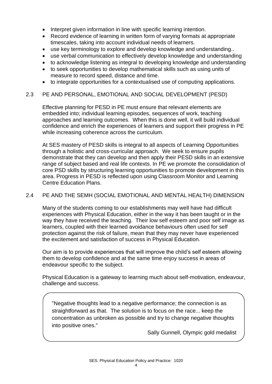- Interpret given information in line with specific learning intention.
- Record evidence of learning in written form of varying formats at appropriate timescales, taking into account individual needs of learners.
- use key terminology to explore and develop knowledge and understanding..
- use verbal communication to effectively develop knowledge and understanding
- to acknowledge listening as integral to developing knowledge and understanding
- to seek opportunities to develop mathematical skills such as using units of measure to record speed, distance and time.
- to integrate opportunities for a contextualised use of computing applications.

#### 2.3 PE AND PERSONAL, EMOTIONAL AND SOCIAL DEVELOPMENT (PESD)

Effective planning for PESD in PE must ensure that relevant elements are embedded into; individual learning episodes, sequences of work, teaching approaches and learning outcomes. When this is done well, it will build individual confidence and enrich the experiences of learners and support their progress in PE while increasing coherence across the curriculum.

At SES mastery of PESD skills is integral to all aspects of Learning Opportunities through a holistic and cross-curricular approach. We seek to ensure pupils demonstrate that they can develop and then apply their PESD skills in an extensive range of subject based and real life contexts. In PE we promote the consolidation of core PSD skills by structuring learning opportunities to promote development in this area. Progress in PESD is reflected upon using Classroom Monitor and Learning Centre Education Plans.

#### 2.4 PE AND THE SEMH (SOCIAL EMOTIONAL AND MENTAL HEALTH) DIMENSION

Many of the students coming to our establishments may well have had difficult experiences with Physical Education, either in the way it has been taught or in the way they have received the teaching. Their low self esteem and poor self image as learners, coupled with their learned avoidance behaviours often used for self protection against the risk of failure, mean that they may never have experienced the excitement and satisfaction of success in Physical Education.

Our aim is to provide experiences that will improve the child's self esteem allowing them to develop confidence and at the same time enjoy success in areas of endeavour specific to the subject.

Physical Education is a gateway to learning much about self-motivation, endeavour, challenge and success.

"Negative thoughts lead to a negative performance; the connection is as straightforward as that. The solution is to focus on the race... keep the concentration as unbroken as possible and try to change negative thoughts into positive ones."

Sally Gunnell, Olympic gold medalist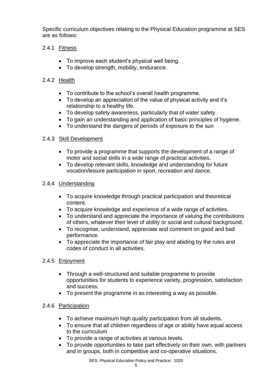Specific curriculum objectives relating to the Physical Education programme at SES are as follows:

# 2.4.1 Fitness

- To improve each student's physical well being.
- To develop strength, mobility, endurance.

# 2.4.2 Health

- To contribute to the school's overall health programme.
- To develop an appreciation of the value of physical activity and it's relationship to a healthy life.
- To develop safety awareness, particularly that of water safety.
- To gain an understanding and application of basic principles of hygiene.
- To understand the dangers of periods of exposure to the sun

# 2.4.3 Skill Development

- To provide a programme that supports the development of a range of motor and social skills in a wide range of practical activities.
- To develop relevant skills, knowledge and understanding for future vocation/leisure participation in sport, recreation and dance.

# 2.4.4 Understanding

- To acquire knowledge through practical participation and theoretical content.
- To acquire knowledge and experience of a wide range of activities.
- To understand and appreciate the importance of valuing the contributions of others, whatever their level of ability or social and cultural background.
- To recognise, understand, appreciate and comment on good and bad performance.
- To appreciate the importance of fair play and abiding by the rules and codes of conduct in all activities.

# 2.4.5 Enjoyment

- Through a well-structured and suitable programme to provide opportunities for students to experience variety, progression, satisfaction and success.
- To present the programme in as interesting a way as possible.

# 2.4.6 Participation

- To achieve maximum high quality participation from all students.
- To ensure that all children regardless of age or ability have equal access to the curriculum
- To provide a range of activities at various levels.
- To provide opportunities to take part effectively on their own, with partners and in groups, both in competitive and co-operative situations.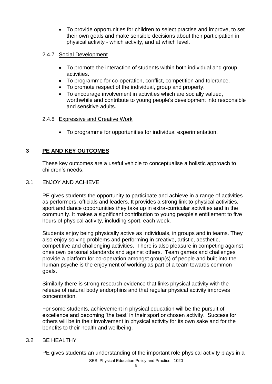• To provide opportunities for children to select practise and improve, to set their own goals and make sensible decisions about their participation in physical activity - which activity, and at which level.

# 2.4.7 Social Development

- To promote the interaction of students within both individual and group activities.
- To programme for co-operation, conflict, competition and tolerance.
- To promote respect of the individual, group and property.
- To encourage involvement in activities which are socially valued, worthwhile and contribute to young people's development into responsible and sensitive adults.

#### 2.4.8 Expressive and Creative Work

• To programme for opportunities for individual experimentation.

# **3 PE AND KEY OUTCOMES**

These key outcomes are a useful vehicle to conceptualise a holistic approach to children's needs.

#### 3.1 ENJOY AND ACHIEVE

PE gives students the opportunity to participate and achieve in a range of activities as performers, officials and leaders. It provides a strong link to physical activities, sport and dance opportunities they take up in extra-curricular activities and in the community. It makes a significant contribution to young people's entitlement to five hours of physical activity, including sport, each week.

Students enjoy being physically active as individuals, in groups and in teams. They also enjoy solving problems and performing in creative, artistic, aesthetic, competitive and challenging activities. There is also pleasure in competing against ones own personal standards and against others. Team games and challenges provide a platform for co-operation amongst group(s) of people and built into the human psyche is the enjoyment of working as part of a team towards common goals.

Similarly there is strong research evidence that links physical activity with the release of natural body endorphins and that regular physical activity improves concentration.

For some students, achievement in physical education will be the pursuit of excellence and becoming 'the best' in their sport or chosen activity. Success for others will be in their involvement in physical activity for its own sake and for the benefits to their health and wellbeing.

#### 3.2 BE HEALTHY

SES: Physical Education Policy and Practice: 1020 PE gives students an understanding of the important role physical activity plays in a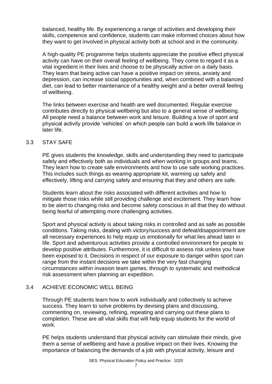balanced, healthy life. By experiencing a range of activities and developing their skills, competence and confidence, students can make informed choices about how they want to get involved in physical activity both at school and in the community.

A high-quality PE programme helps students appreciate the positive effect physical activity can have on their overall feeling of wellbeing. They come to regard it as a vital ingredient in their lives and choose to be physically active on a daily basis. They learn that being active can have a positive impact on stress, anxiety and depression, can increase social opportunities and, when combined with a balanced diet, can lead to better maintenance of a healthy weight and a better overall feeling of wellbeing.

The links between exercise and health are well documented. Regular exercise contributes directly to physical wellbeing but also to a general sense of wellbeing. All people need a balance between work and leisure. Building a love of sport and physical activity provide 'vehicles' on which people can build a work life balance in later life.

#### 3.3 STAY SAFE

PE gives students the knowledge, skills and understanding they need to participate safely and effectively both as individuals and when working in groups and teams. They learn how to create safe environments and how to use safe working practices. This includes such things as wearing appropriate kit, warming up safely and effectively, lifting and carrying safely and ensuring that they and others are safe.

Students learn about the risks associated with different activities and how to mitigate those risks while still providing challenge and excitement. They learn how to be alert to changing risks and become safety conscious in all that they do without being fearful of attempting more challenging activities.

Sport and physical activity is about taking risks in controlled and as safe as possible conditions. Taking risks, dealing with victory/success and defeat/disappointment are all necessary experiences to help equip us emotionally for what lies ahead later in life. Sport and adventurous activities provide a controlled environment for people to develop positive attributes. Furthermore, it is difficult to assess risk unless you have been exposed to it. Decisions in respect of our exposure to danger within sport can range from the instant decisions we take within the very fast changing circumstances within invasion team games, through to systematic and methodical risk assessment when planning an expedition.

#### 3.4 ACHIEVE ECONOMIC WELL BEING

Through PE students learn how to work individually and collectively to achieve success. They learn to solve problems by devising plans and discussing, commenting on, reviewing, refining, repeating and carrying out these plans to completion. These are all vital skills that will help equip students for the world of work.

PE helps students understand that physical activity can stimulate their minds, give them a sense of wellbeing and have a positive impact on their lives. Knowing the importance of balancing the demands of a job with physical activity, leisure and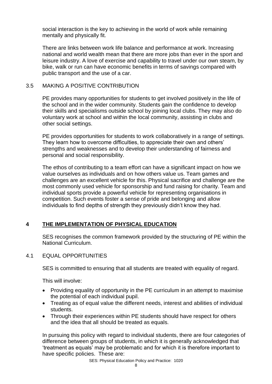social interaction is the key to achieving in the world of work while remaining mentally and physically fit.

There are links between work life balance and performance at work. Increasing national and world wealth mean that there are more jobs than ever in the sport and leisure industry. A love of exercise and capability to travel under our own steam, by bike, walk or run can have economic benefits in terms of savings compared with public transport and the use of a car.

### 3.5 MAKING A POSITIVE CONTRIBUTION

PE provides many opportunities for students to get involved positively in the life of the school and in the wider community. Students gain the confidence to develop their skills and specialisms outside school by joining local clubs. They may also do voluntary work at school and within the local community, assisting in clubs and other social settings.

PE provides opportunities for students to work collaboratively in a range of settings. They learn how to overcome difficulties, to appreciate their own and others' strengths and weaknesses and to develop their understanding of fairness and personal and social responsibility.

The ethos of contributing to a team effort can have a significant impact on how we value ourselves as individuals and on how others value us. Team games and challenges are an excellent vehicle for this. Physical sacrifice and challenge are the most commonly used vehicle for sponsorship and fund raising for charity. Team and individual sports provide a powerful vehicle for representing organisations in competition. Such events foster a sense of pride and belonging and allow individuals to find depths of strength they previously didn't know they had.

# **4 THE IMPLEMENTATION OF PHYSICAL EDUCATION**

SES recognises the common framework provided by the structuring of PE within the National Curriculum.

#### 4.1 EQUAL OPPORTUNITIES

SES is committed to ensuring that all students are treated with equality of regard.

This will involve:

- Providing equality of opportunity in the PE curriculum in an attempt to maximise the potential of each individual pupil.
- Treating as of equal value the different needs, interest and abilities of individual students.
- Through their experiences within PE students should have respect for others and the idea that all should be treated as equals.

In pursuing this policy with regard to individual students, there are four categories of difference between groups of students, in which it is generally acknowledged that 'treatment as equals' may be problematic and for which it is therefore important to have specific policies. These are: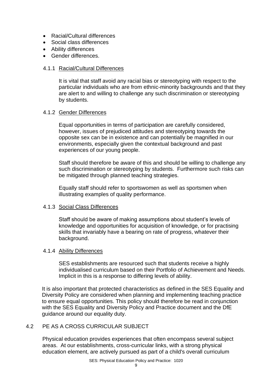- Racial/Cultural differences
- Social class differences
- Ability differences
- Gender differences.

#### 4.1.1 Racial/Cultural Differences

It is vital that staff avoid any racial bias or stereotyping with respect to the particular individuals who are from ethnic-minority backgrounds and that they are alert to and willing to challenge any such discrimination or stereotyping by students.

#### 4.1.2 Gender Differences

Equal opportunities in terms of participation are carefully considered, however, issues of prejudiced attitudes and stereotyping towards the opposite sex can be in existence and can potentially be magnified in our environments, especially given the contextual background and past experiences of our young people.

Staff should therefore be aware of this and should be willing to challenge any such discrimination or stereotyping by students. Furthermore such risks can be mitigated through planned teaching strategies.

Equally staff should refer to sportswomen as well as sportsmen when illustrating examples of quality performance.

#### 4.1.3 Social Class Differences

Staff should be aware of making assumptions about student's levels of knowledge and opportunities for acquisition of knowledge, or for practising skills that invariably have a bearing on rate of progress, whatever their background.

#### 4.1.4 Ability Differences

SES establishments are resourced such that students receive a highly individualised curriculum based on their Portfolio of Achievement and Needs. Implicit in this is a response to differing levels of ability.

It is also important that protected characteristics as defined in the SES Equality and Diversity Policy are considered when planning and implementing teaching practice to ensure equal opportunities. This policy should therefore be read in conjunction with the SES Equality and Diversity Policy and Practice document and the DfE guidance around our equality duty.

# 4.2 PE AS A CROSS CURRICULAR SUBJECT

Physical education provides experiences that often encompass several subject areas. At our establishments, cross-curricular links, with a strong physical education element, are actively pursued as part of a child's overall curriculum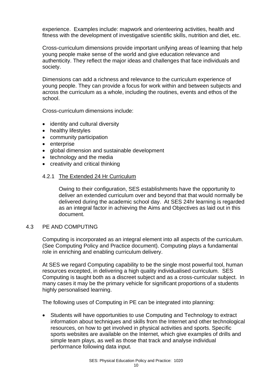experience. Examples include: mapwork and orienteering activities, health and fitness with the development of investigative scientific skills, nutrition and diet, etc.

Cross-curriculum dimensions provide important unifying areas of learning that help young people make sense of the world and give education relevance and authenticity. They reflect the major ideas and challenges that face individuals and society.

Dimensions can add a richness and relevance to the curriculum experience of young people. They can provide a focus for work within and between subjects and across the curriculum as a whole, including the routines, events and ethos of the school.

Cross-curriculum dimensions include:

- identity and cultural diversity
- healthy lifestyles
- community participation
- enterprise
- global dimension and sustainable development
- technology and the media
- creativity and critical thinking

#### 4.2.1 The Extended 24 Hr Curriculum

Owing to their configuration, SES establishments have the opportunity to deliver an extended curriculum over and beyond that that would normally be delivered during the academic school day. At SES 24hr learning is regarded as an integral factor in achieving the Aims and Objectives as laid out in this document.

#### 4.3 PE AND COMPUTING

Computing is incorporated as an integral element into all aspects of the curriculum. (See Computing Policy and Practice document). Computing plays a fundamental role in enriching and enabling curriculum delivery.

At SES we regard Computing capability to be the single most powerful tool, human resources excepted, in delivering a high quality individualised curriculum. SES Computing is taught both as a discreet subject and as a cross-curricular subject. In many cases it may be the primary vehicle for significant proportions of a students highly personalised learning.

The following uses of Computing in PE can be integrated into planning:

• Students will have opportunities to use Computing and Technology to extract information about techniques and skills from the Internet and other technological resources, on how to get involved in physical activities and sports. Specific sports websites are available on the Internet, which give examples of drills and simple team plays, as well as those that track and analyse individual performance following data input.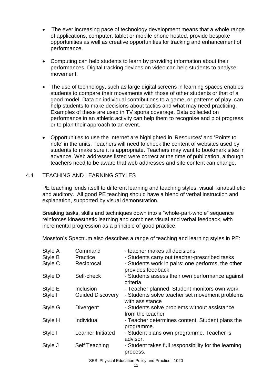- The ever increasing pace of technology development means that a whole range of applications, computer, tablet or mobile phone hosted, provide bespoke opportunities as well as creative opportunities for tracking and enhancement of performance.
- Computing can help students to learn by providing information about their performances. Digital tracking devices on video can help students to analyse movement.
- The use of technology, such as large digital screens in learning spaces enables students to compare their movements with those of other students or that of a good model. Data on individual contributions to a game, or patterns of play, can help students to make decisions about tactics and what may need practicing. Examples of these are used in TV sports coverage. Data collected on performance in an athletic activity can help them to recognise and plot progress or to plan their approach to an event.
- Opportunities to use the Internet are highlighted in 'Resources' and 'Points to note' in the units. Teachers will need to check the content of websites used by students to make sure it is appropriate. Teachers may want to bookmark sites in advance. Web addresses listed were correct at the time of publication, although teachers need to be aware that web addresses and site content can change.

#### 4.4 TEACHING AND LEARNING STYLES

PE teaching lends itself to different learning and teaching styles, visual, kinaesthetic and auditory. All good PE teaching should have a blend of verbal instruction and explanation, supported by visual demonstration.

Breaking tasks, skills and techniques down into a "whole-part-whole" sequence reinforces kinaesthetic learning and combines visual and verbal feedback, with incremental progression as a principle of good practice.

Mosston's Spectrum also describes a range of teaching and learning styles in PE:

| Style A | Command                 | - teacher makes all decisions                                          |
|---------|-------------------------|------------------------------------------------------------------------|
| Style B | Practice                | - Students carry out teacher-prescribed tasks                          |
| Style C | Reciprocal              | - Students work in pairs: one performs, the other<br>provides feedback |
| Style D | Self-check              | - Students assess their own performance against<br>criteria            |
| Style E | Inclusion               | - Teacher planned. Student monitors own work.                          |
| Style F | <b>Guided Discovery</b> | - Students solve teacher set movement problems<br>with assistance      |
| Style G | <b>Divergent</b>        | - Students solve problems without assistance<br>from the teacher       |
| Style H | Individual              | - Teacher determines content. Student plans the<br>programme.          |
| Style I | Learner Initiated       | - Student plans own programme. Teacher is<br>advisor.                  |
| Style J | <b>Self Teaching</b>    | - Student takes full responsibility for the learning<br>process.       |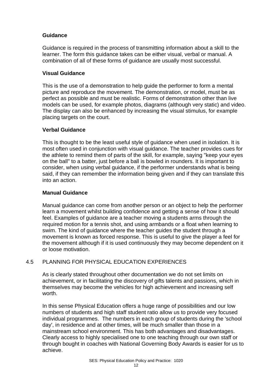# **Guidance**

Guidance is required in the process of transmitting information about a skill to the learner. The form this guidance takes can be either visual, verbal or manual. A combination of all of these forms of guidance are usually most successful.

# **Visual Guidance**

This is the use of a demonstration to help guide the performer to form a mental picture and reproduce the movement. The demonstration, or model, must be as perfect as possible and must be realistic. Forms of demonstration other than live models can be used, for example photos, diagrams (although very static) and video. The display can also be enhanced by increasing the visual stimulus, for example placing targets on the court.

### **Verbal Guidance**

This is thought to be the least useful style of guidance when used in isolation. It is most often used in conjunction with visual guidance. The teacher provides cues for the athlete to remind them of parts of the skill, for example, saying "keep your eyes on the ball" to a batter, just before a ball is bowled in rounders. It is important to consider, when using verbal guidance, if the performer understands what is being said, if they can remember the information being given and if they can translate this into an action.

#### **Manual Guidance**

Manual guidance can come from another person or an object to help the performer learn a movement whilst building confidence and getting a sense of how it should feel. Examples of guidance are a teacher moving a students arms through the required motion for a tennis shot, and using armbands or a float when learning to swim. The kind of guidance where the teacher guides the student through a movement is known as forced response. This is useful to give the player a feel for the movement although if it is used continuously they may become dependent on it or loose motivation.

# 4.5 PLANNING FOR PHYSICAL EDUCATION EXPERIENCES

As is clearly stated throughout other documentation we do not set limits on achievement, or in facilitating the discovery of gifts talents and passions, which in themselves may become the vehicles for high achievement and increasing self worth.

In this sense Physical Education offers a huge range of possibilities and our low numbers of students and high staff student ratio allow us to provide very focused individual programmes. The numbers in each group of students during the 'school day', in residence and at other times, will be much smaller than those in a mainstream school environment. This has both advantages and disadvantages. Clearly access to highly specialised one to one teaching through our own staff or through bought in coaches with National Governing Body Awards is easier for us to achieve.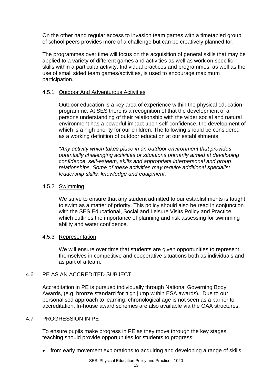On the other hand regular access to invasion team games with a timetabled group of school peers provides more of a challenge but can be creatively planned for.

The programmes over time will focus on the acquisition of general skills that may be applied to a variety of different games and activities as well as work on specific skills within a particular activity. Individual practices and programmes, as well as the use of small sided team games/activities, is used to encourage maximum participation.

#### 4.5.1 Outdoor And Adventurous Activities

Outdoor education is a key area of experience within the physical education programme. At SES there is a recognition of that the development of a persons understanding of their relationship with the wider social and natural environment has a powerful impact upon self-confidence, the development of which is a high priority for our children. The following should be considered as a working definition of outdoor education at our establishments.

*"Any activity which takes place in an outdoor environment that provides potentially challenging activities or situations primarily aimed at developing confidence, self-esteem, skills and appropriate interpersonal and group relationships. Some of these activities may require additional specialist leadership skills, knowledge and equipment."*

#### 4.5.2 Swimming

We strive to ensure that any student admitted to our establishments is taught to swim as a matter of priority. This policy should also be read in conjunction with the SES Educational, Social and Leisure Visits Policy and Practice, which outlines the importance of planning and risk assessing for swimming ability and water confidence.

#### 4.5.3 Representation

We will ensure over time that students are given opportunities to represent themselves in competitive and cooperative situations both as individuals and as part of a team.

#### 4.6 PE AS AN ACCREDITED SUBJECT

Accreditation in PE is pursued individually through National Governing Body Awards, (e.g. bronze standard for high jump within ESA awards). Due to our personalised approach to learning, chronological age is not seen as a barrier to accreditation. In-house award schemes are also available via the OAA structures.

#### 4.7 PROGRESSION IN PE

To ensure pupils make progress in PE as they move through the key stages, teaching should provide opportunities for students to progress:

• from early movement explorations to acquiring and developing a range of skills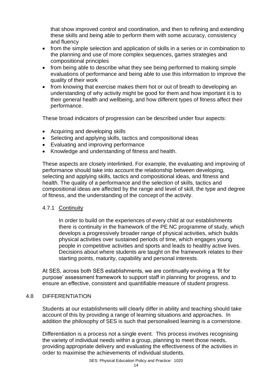that show improved control and coordination, and then to refining and extending these skills and being able to perform them with some accuracy, consistency and fluency

- from the simple selection and application of skills in a series or in combination to the planning and use of more complex sequences, games strategies and compositional principles
- from being able to describe what they see being performed to making simple evaluations of performance and being able to use this information to improve the quality of their work
- from knowing that exercise makes them hot or out of breath to developing an understanding of why activity might be good for them and how important it is to their general health and wellbeing, and how different types of fitness affect their performance.

These broad indicators of progression can be described under four aspects:

- Acquiring and developing skills
- Selecting and applying skills, tactics and compositional ideas
- Evaluating and improving performance
- Knowledge and understanding of fitness and health.

These aspects are closely interlinked. For example, the evaluating and improving of performance should take into account the relationship between developing, selecting and applying skills, tactics and compositional ideas, and fitness and health. The quality of a performance and the selection of skills, tactics and compositional ideas are affected by the range and level of skill, the type and degree of fitness, and the understanding of the concept of the activity.

# 4.7.1 Continuity

In order to build on the experiences of every child at our establishments there is continuity in the framework of the PE NC programme of study, which develops a progressively broader range of physical activities, which builds physical activities over sustained periods of time, which engages young people in competitive activities and sports and leads to healthy active lives. Decisions about where students are taught on the framework relates to their starting points, maturity, capability and personal interests.

At SES, across both SES establishments, we are continually evolving a 'fit for purpose' assessment framework to support staff in planning for progress, and to ensure an effective, consistent and quantifiable measure of student progress.

#### 4.8 DIFFERENTIATION

Students at our establishments will clearly differ in ability and teaching should take account of this by providing a range of learning situations and approaches. In addition the philosophy of SES is such that personalised learning is a cornerstone.

Differentiation is a process not a single event. This process involves recognising the variety of individual needs within a group, planning to meet those needs, providing appropriate delivery and evaluating the effectiveness of the activities in order to maximise the achievements of individual students.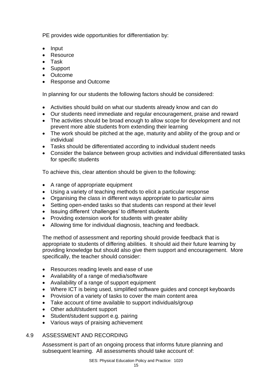PE provides wide opportunities for differentiation by:

- Input
- Resource
- Task
- Support
- Outcome
- Response and Outcome

In planning for our students the following factors should be considered:

- Activities should build on what our students already know and can do
- Our students need immediate and regular encouragement, praise and reward
- The activities should be broad enough to allow scope for development and not prevent more able students from extending their learning
- The work should be pitched at the age, maturity and ability of the group and or individual
- Tasks should be differentiated according to individual student needs
- Consider the balance between group activities and individual differentiated tasks for specific students

To achieve this, clear attention should be given to the following:

- A range of appropriate equipment
- Using a variety of teaching methods to elicit a particular response
- Organising the class in different ways appropriate to particular aims
- Setting open-ended tasks so that students can respond at their level
- Issuing different 'challenges' to different students
- Providing extension work for students with greater ability
- Allowing time for individual diagnosis, teaching and feedback.

The method of assessment and reporting should provide feedback that is appropriate to students of differing abilities. It should aid their future learning by providing knowledge but should also give them support and encouragement. More specifically, the teacher should consider:

- Resources reading levels and ease of use
- Availability of a range of media/software
- Availability of a range of support equipment
- Where ICT is being used, simplified software guides and concept keyboards
- Provision of a variety of tasks to cover the main content area
- Take account of time available to support individuals/group
- Other adult/student support
- Student/student support e.g. pairing
- Various ways of praising achievement

#### 4.9 ASSESSMENT AND RECORDING

Assessment is part of an ongoing process that informs future planning and subsequent learning. All assessments should take account of: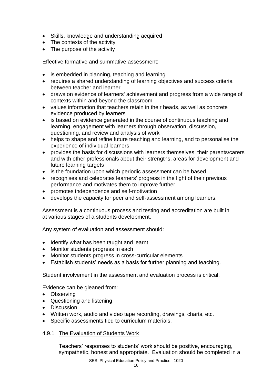- Skills, knowledge and understanding acquired
- The contexts of the activity
- The purpose of the activity

Effective formative and summative assessment:

- is embedded in planning, teaching and learning
- requires a shared understanding of learning objectives and success criteria between teacher and learner
- draws on evidence of learners' achievement and progress from a wide range of contexts within and beyond the classroom
- values information that teachers retain in their heads, as well as concrete evidence produced by learners
- is based on evidence generated in the course of continuous teaching and learning, engagement with learners through observation, discussion, questioning, and review and analysis of work
- helps to shape and refine future teaching and learning, and to personalise the experience of individual learners
- provides the basis for discussions with learners themselves, their parents/carers and with other professionals about their strengths, areas for development and future learning targets
- is the foundation upon which periodic assessment can be based
- recognises and celebrates learners' progress in the light of their previous performance and motivates them to improve further
- promotes independence and self-motivation
- develops the capacity for peer and self-assessment among learners.

Assessment is a continuous process and testing and accreditation are built in at various stages of a students development.

Any system of evaluation and assessment should:

- Identify what has been taught and learnt
- Monitor students progress in each
- Monitor students progress in cross-curricular elements
- Establish students' needs as a basis for further planning and teaching.

Student involvement in the assessment and evaluation process is critical.

Evidence can be gleaned from:

- Observing
- Questioning and listening
- Discussion
- Written work, audio and video tape recording, drawings, charts, etc.
- Specific assessments tied to curriculum materials.

#### 4.9.1 The Evaluation of Students Work

Teachers' responses to students' work should be positive, encouraging, sympathetic, honest and appropriate. Evaluation should be completed in a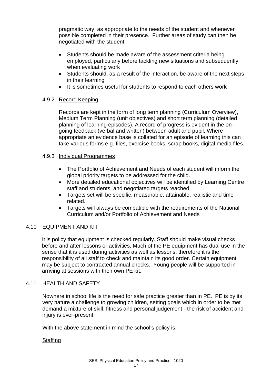pragmatic way, as appropriate to the needs of the student and whenever possible completed in their presence. Further areas of study can then be negotiated with the student.

- Students should be made aware of the assessment criteria being employed, particularly before tackling new situations and subsequently when evaluating work
- Students should, as a result of the interaction, be aware of the next steps in their learning
- It is sometimes useful for students to respond to each others work

### 4.9.2 Record Keeping

Records are kept in the form of long term planning (Curriculum Overview), Medium Term Planning (unit objectives) and short term planning (detailed planning of learning episodes). A record of progress is evident in the ongoing feedback (verbal and written) between adult and pupil. Where appropriate an evidence base is collated for an episode of learning this can take various forms e.g. files, exercise books, scrap books, digital media files.

### 4.9.3 Individual Programmes

- The Portfolio of Achievement and Needs of each student will inform the global priority targets to be addressed for the child.
- More detailed educational objectives will be identified by Learning Centre staff and students, and negotiated targets reached.
- Targets set will be specific, measurable, attainable, realistic and time related.
- Targets will always be compatible with the requirements of the National Curriculum and/or Portfolio of Achievement and Needs

# 4.10 EQUIPMENT AND KIT

It is policy that equipment is checked regularly. Staff should make visual checks before and after lessons or activities. Much of the PE equipment has dual use in the sense that it is used during activities as well as lessons; therefore it is the responsibility of all staff to check and maintain its good order. Certain equipment may be subject to contracted annual checks. Young people will be supported in arriving at sessions with their own PE kit.

#### 4.11 HEALTH AND SAFETY

Nowhere in school life is the need for safe practice greater than in PE. PE is by its very nature a challenge to growing children, setting goals which in order to be met demand a mixture of skill, fitness and personal judgement - the risk of accident and injury is ever-present.

With the above statement in mind the school's policy is:

#### **Staffing**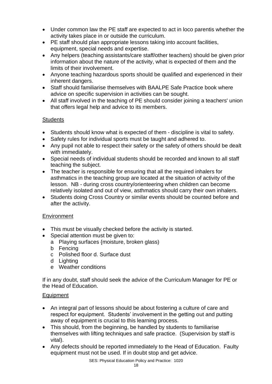- Under common law the PE staff are expected to act in loco parentis whether the activity takes place in or outside the curriculum.
- PE staff should plan appropriate lessons taking into account facilities, equipment, special needs and expertise.
- Any helpers (teaching assistants/care staff/other teachers) should be given prior information about the nature of the activity, what is expected of them and the limits of their involvement.
- Anyone teaching hazardous sports should be qualified and experienced in their inherent dangers.
- Staff should familiarise themselves with BAALPE Safe Practice book where advice on specific supervision in activities can be sought.
- All staff involved in the teaching of PE should consider joining a teachers' union that offers legal help and advice to its members.

# **Students**

- Students should know what is expected of them discipline is vital to safety.
- Safety rules for individual sports must be taught and adhered to.
- Any pupil not able to respect their safety or the safety of others should be dealt with immediately.
- Special needs of individual students should be recorded and known to all staff teaching the subject.
- The teacher is responsible for ensuring that all the required inhalers for asthmatics in the teaching group are located at the situation of activity of the lesson. NB - during cross country/orienteering when children can become relatively isolated and out of view, asthmatics should carry their own inhalers.
- Students doing Cross Country or similar events should be counted before and after the activity.

# **Environment**

- This must be visually checked before the activity is started.
- Special attention must be given to:
	- a Playing surfaces {moisture, broken glass)
	- b Fencing
	- c Polished floor d. Surface dust
	- d Lighting
	- e Weather conditions

If in any doubt, staff should seek the advice of the Curriculum Manager for PE or the Head of Education.

# Equipment

- An integral part of lessons should be about fostering a culture of care and respect for equipment. Students' involvement in the getting out and putting away of equipment is crucial to this learning process.
- This should, from the beginning, be handled by students to familiarise themselves with lifting techniques and safe practice. (Supervision by staff is vital).
- Any defects should be reported immediately to the Head of Education. Faulty equipment must not be used. If in doubt stop and get advice.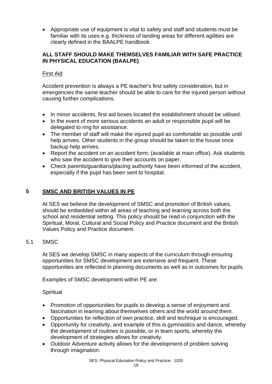• Appropriate use of equipment is vital to safety and staff and students must be familiar with its uses e.g. thickness of landing areas for different agilities are clearly defined in the BAALPE handbook.

# **ALL STAFF SHOULD MAKE THEMSELVES FAMILIAR WITH SAFE PRACTICE IN PHYSICAL EDUCATION (BAALPE)**

### First Aid

Accident prevention is always a PE teacher's first safety consideration, but in emergencies the same teacher should be able to care for the injured person without causing further complications.

- In minor accidents, first aid boxes located the establishment should be utilised.
- In the event of more serious accidents an adult or responsible pupil will be delegated to ring for assistance.
- The member of staff will make the injured pupil as comfortable as possible until help arrives. Other students in the group should be taken to the house once backup help arrives.
- Report the accident on an accident form; (available at main office). Ask students who saw the accident to give their accounts on paper.
- Check parents/guardians/placing authority have been informed of the accident, especially if the pupil has been sent to hospital.

# **5 SMSC AND BRITISH VALUES IN PE**

At SES we believe the development of SMSC and promotion of British values, should be embedded within all areas of teaching and learning across both the school and residential setting. This policy should be read in conjunction with the Spiritual, Moral, Cultural and Social Policy and Practice document and the British Values Policy and Practice document.

#### 5.1 SMSC

At SES we develop SMSC in many aspects of the curriculum through ensuring opportunities for SMSC development are extensive and frequent. These opportunities are reflected in planning documents as well as in outcomes for pupils.

Examples of SMSC development within PE are:

#### **Spiritual**

- Promotion of opportunities for pupils to develop a sense of enjoyment and fascination in learning about themselves others and the world around them.
- Opportunities for reflection of own practice, skill and technique is encouraged.
- Opportunity for creativity, and example of this is gymnastics and dance, whereby the development of routines is possible, or in team sports, whereby the development of strategies allows for creativity.
- Outdoor Adventure activity allows for the development of problem solving through imagination.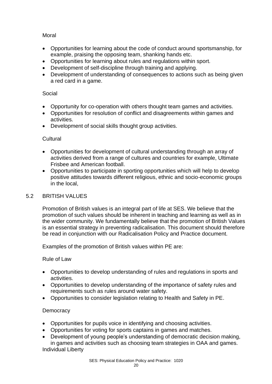# Moral

- Opportunities for learning about the code of conduct around sportsmanship, for example, praising the opposing team, shanking hands etc.
- Opportunities for learning about rules and regulations within sport.
- Development of self-discipline through training and applying.
- Development of understanding of consequences to actions such as being given a red card in a game.

# Social

- Opportunity for co-operation with others thought team games and activities.
- Opportunities for resolution of conflict and disagreements within games and activities.
- Development of social skills thought group activities.

# Cultural

- Opportunities for development of cultural understanding through an array of activities derived from a range of cultures and countries for example, Ultimate Frisbee and American football.
- Opportunities to participate in sporting opportunities which will help to develop positive attitudes towards different religious, ethnic and socio-economic groups in the local,

# 5.2 BRITISH VALUES

Promotion of British values is an integral part of life at SES. We believe that the promotion of such values should be inherent in teaching and learning as well as in the wider community. We fundamentally believe that the promotion of British Values is an essential strategy in preventing radicalisation. This document should therefore be read in conjunction with our Radicalisation Policy and Practice document.

Examples of the promotion of British values within PE are:

# Rule of Law

- Opportunities to develop understanding of rules and regulations in sports and activities.
- Opportunities to develop understanding of the importance of safety rules and requirements such as rules around water safety.
- Opportunities to consider legislation relating to Health and Safety in PE.

# **Democracy**

- Opportunities for pupils voice in identifying and choosing activities.
- Opportunities for voting for sports captains in games and matches.
- Development of young people's understanding of democratic decision making, in games and activities such as choosing team strategies in OAA and games. Individual Liberty